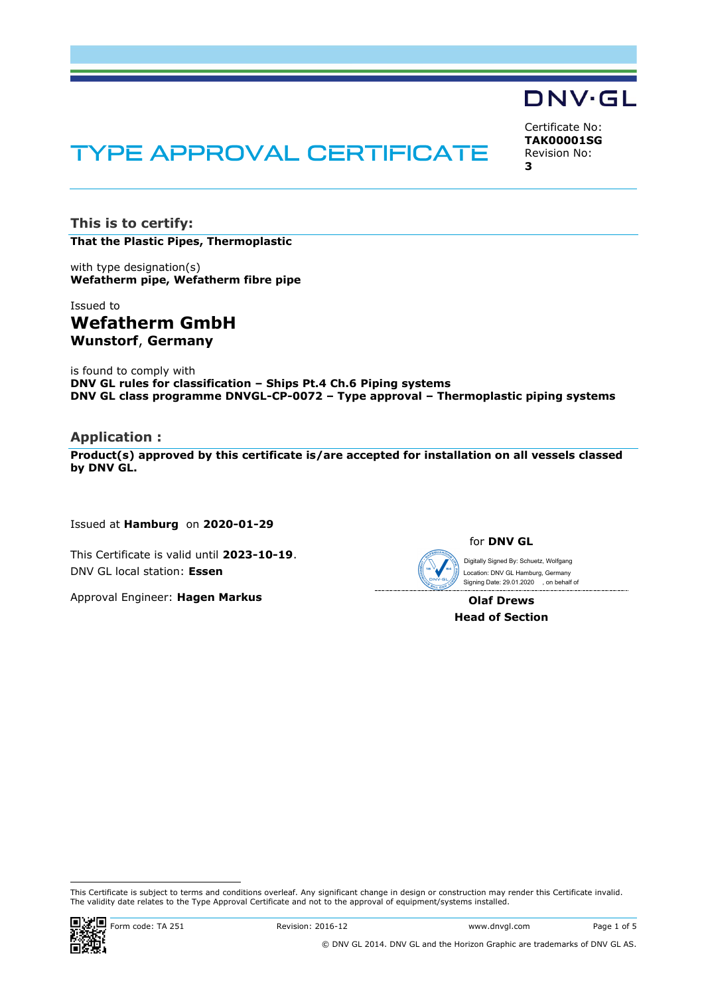# **TYPE APPROVAL CERTIFICATE**

Certificate No: **TAK00001SG** Revision No: **3**

**DNV·GL** 

**This is to certify: That the Plastic Pipes, Thermoplastic**

with type designation(s) **Wefatherm pipe, Wefatherm fibre pipe**

Issued to **Wefatherm GmbH Wunstorf**, **Germany**

is found to comply with **DNV GL rules for classification – Ships Pt.4 Ch.6 Piping systems DNV GL class programme DNVGL-CP-0072 – Type approval – Thermoplastic piping systems**

# **Application :**

**Product(s) approved by this certificate is/are accepted for installation on all vessels classed by DNV GL.**

Issued at **Hamburg** on **2020-01-29**

This Certificate is valid until **2023-10-19**. DNV GL local station: **Essen**

Approval Engineer: **Hagen Markus**

Digitally Signed By: Schuetz, Wolfgang Location: DNV GL Hamburg, Germany

**Olaf Drews Head of Section**

This Certificate is subject to terms and conditions overleaf. Any significant change in design or construction may render this Certificate invalid. The validity date relates to the Type Approval Certificate and not to the approval of equipment/systems installed.

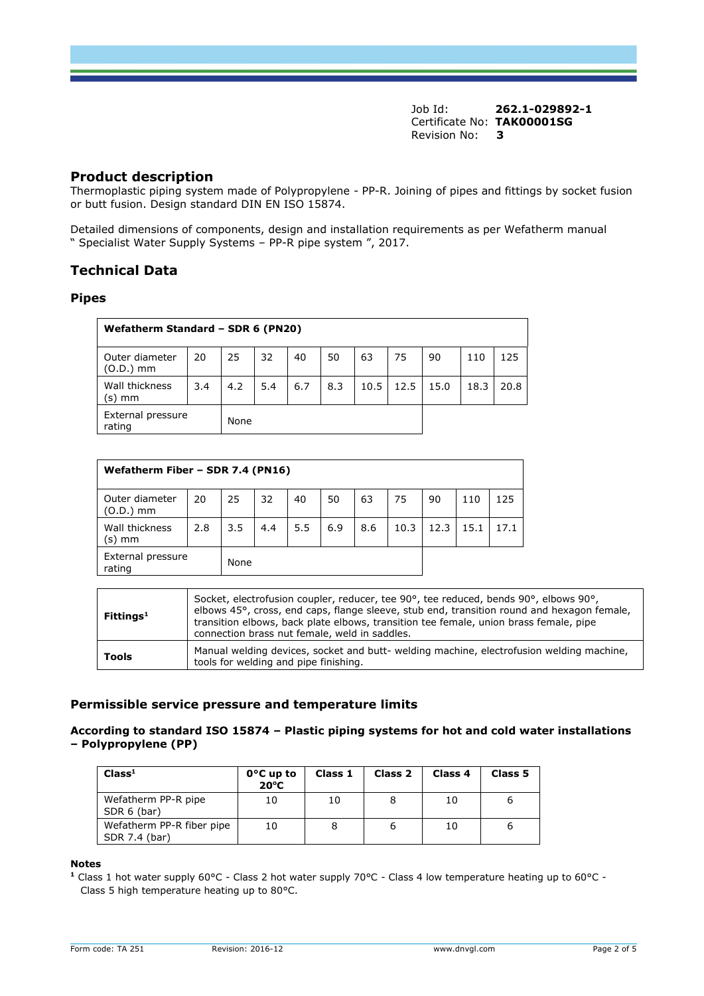## **Product description**

Thermoplastic piping system made of Polypropylene - PP-R. Joining of pipes and fittings by socket fusion or butt fusion. Design standard DIN EN ISO 15874.

Detailed dimensions of components, design and installation requirements as per Wefatherm manual " Specialist Water Supply Systems – PP-R pipe system ", 2017.

# **Technical Data**

## **Pipes**

| Wefatherm Standard - SDR 6 (PN20) |      |     |     |     |     |      |      |      |      |      |
|-----------------------------------|------|-----|-----|-----|-----|------|------|------|------|------|
| Outer diameter<br>(O.D.) mm       | 20   | 25  | 32  | 40  | 50  | 63   | 75   | 90   | 110  | 125  |
| Wall thickness<br>(s) mm          | 3.4  | 4.2 | 5.4 | 6.7 | 8.3 | 10.5 | 12.5 | 15.0 | 18.3 | 20.8 |
| External pressure<br>rating       | None |     |     |     |     |      |      |      |      |      |

| Wefatherm Fiber - SDR 7.4 (PN16)    |     |     |     |     |     |     |      |      |      |      |
|-------------------------------------|-----|-----|-----|-----|-----|-----|------|------|------|------|
| Outer diameter<br>$(0.D.)$ mm       | 20  | 25  | 32  | 40  | 50  | 63  | 75   | 90   | 110  | 125  |
| Wall thickness<br>(s) mm            | 2.8 | 3.5 | 4.4 | 5.5 | 6.9 | 8.6 | 10.3 | 12.3 | 15.1 | 17.1 |
| External pressure<br>None<br>rating |     |     |     |     |     |     |      |      |      |      |

| Fittings <sup>1</sup> | Socket, electrofusion coupler, reducer, tee 90°, tee reduced, bends 90°, elbows 90°,<br>elbows 45°, cross, end caps, flange sleeve, stub end, transition round and hexagon female,<br>transition elbows, back plate elbows, transition tee female, union brass female, pipe<br>connection brass nut female, weld in saddles. |
|-----------------------|------------------------------------------------------------------------------------------------------------------------------------------------------------------------------------------------------------------------------------------------------------------------------------------------------------------------------|
| Tools                 | Manual welding devices, socket and butt- welding machine, electrofusion welding machine,<br>tools for welding and pipe finishing.                                                                                                                                                                                            |

## **Permissible service pressure and temperature limits**

## **According to standard ISO 15874 – Plastic piping systems for hot and cold water installations – Polypropylene (PP)**

| Class <sup>1</sup>                         | $0^{\circ}$ C up to<br>$20^{\circ}$ C | Class 1 | Class 2 | Class <sub>4</sub> | Class 5 |
|--------------------------------------------|---------------------------------------|---------|---------|--------------------|---------|
| Wefatherm PP-R pipe<br>SDR 6 (bar)         | 10                                    | 10      |         | 10                 |         |
| Wefatherm PP-R fiber pipe<br>SDR 7.4 (bar) | 10                                    | 8       | 6       | 10                 |         |

**Notes**

**<sup>1</sup>** Class 1 hot water supply 60°C - Class 2 hot water supply 70°C - Class 4 low temperature heating up to 60°C - Class 5 high temperature heating up to 80°C.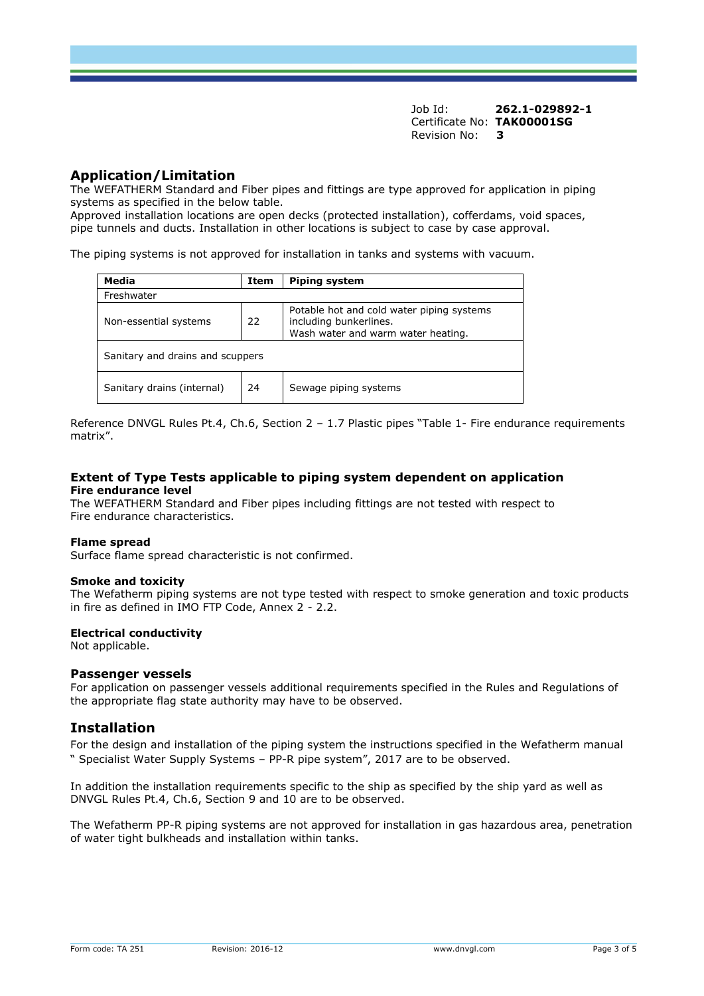# **Application/Limitation**

The WEFATHERM Standard and Fiber pipes and fittings are type approved for application in piping systems as specified in the below table.

Approved installation locations are open decks (protected installation), cofferdams, void spaces, pipe tunnels and ducts. Installation in other locations is subject to case by case approval.

The piping systems is not approved for installation in tanks and systems with vacuum.

| Media<br>Item                    |    | <b>Piping system</b>                                                                                      |  |  |  |  |  |
|----------------------------------|----|-----------------------------------------------------------------------------------------------------------|--|--|--|--|--|
| Freshwater                       |    |                                                                                                           |  |  |  |  |  |
| Non-essential systems            | 22 | Potable hot and cold water piping systems<br>including bunkerlines.<br>Wash water and warm water heating. |  |  |  |  |  |
| Sanitary and drains and scuppers |    |                                                                                                           |  |  |  |  |  |
| Sanitary drains (internal)<br>24 |    | Sewage piping systems                                                                                     |  |  |  |  |  |

Reference DNVGL Rules Pt.4, Ch.6, Section 2 – 1.7 Plastic pipes "Table 1- Fire endurance requirements matrix".

## **Extent of Type Tests applicable to piping system dependent on application Fire endurance level**

The WEFATHERM Standard and Fiber pipes including fittings are not tested with respect to Fire endurance characteristics.

#### **Flame spread**

Surface flame spread characteristic is not confirmed.

#### **Smoke and toxicity**

The Wefatherm piping systems are not type tested with respect to smoke generation and toxic products in fire as defined in IMO FTP Code, Annex 2 - 2.2.

#### **Electrical conductivity**

Not applicable.

#### **Passenger vessels**

For application on passenger vessels additional requirements specified in the Rules and Regulations of the appropriate flag state authority may have to be observed.

## **Installation**

For the design and installation of the piping system the instructions specified in the Wefatherm manual " Specialist Water Supply Systems – PP-R pipe system", 2017 are to be observed.

In addition the installation requirements specific to the ship as specified by the ship yard as well as DNVGL Rules Pt.4, Ch.6, Section 9 and 10 are to be observed.

The Wefatherm PP-R piping systems are not approved for installation in gas hazardous area, penetration of water tight bulkheads and installation within tanks.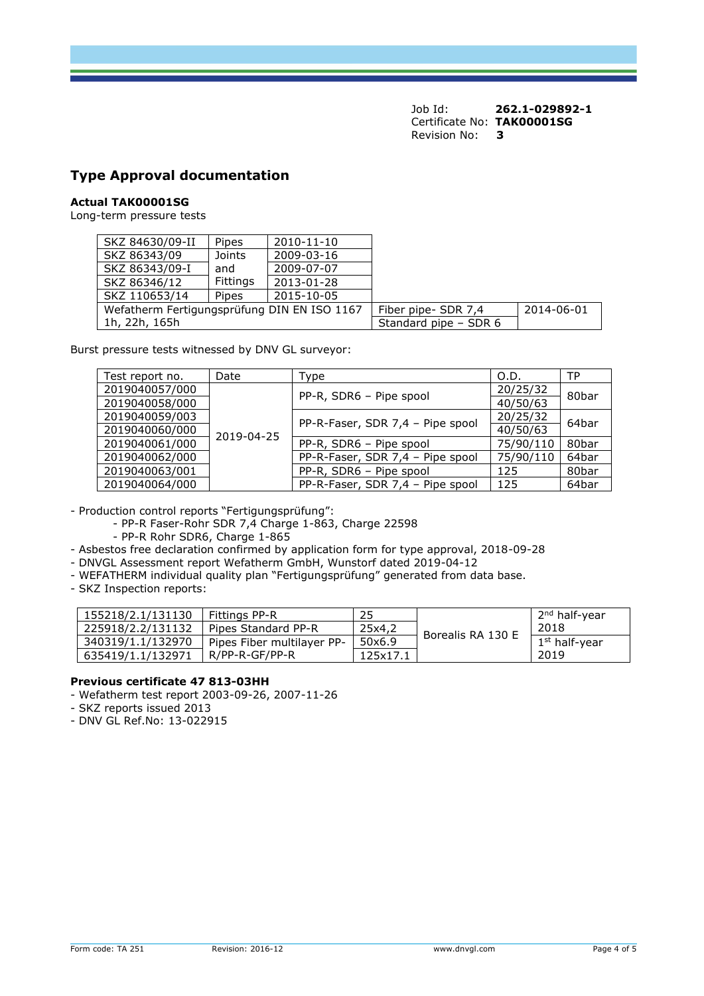# **Type Approval documentation**

#### **Actual TAK00001SG**

Long-term pressure tests

| SKZ 84630/09-II                             | Pipes    | 2010-11-10 |                       |            |
|---------------------------------------------|----------|------------|-----------------------|------------|
| SKZ 86343/09                                | Joints   | 2009-03-16 |                       |            |
| SKZ 86343/09-I                              | and      | 2009-07-07 |                       |            |
| SKZ 86346/12                                | Fittings | 2013-01-28 |                       |            |
| SKZ 110653/14                               | Pipes    | 2015-10-05 |                       |            |
| Wefatherm Fertigungsprüfung DIN EN ISO 1167 |          |            | Fiber pipe- SDR 7,4   | 2014-06-01 |
| 1h, 22h, 165h                               |          |            | Standard pipe - SDR 6 |            |

Burst pressure tests witnessed by DNV GL surveyor:

| Test report no. | Date       | Type                             | O.D.      | TP    |  |
|-----------------|------------|----------------------------------|-----------|-------|--|
| 2019040057/000  |            | PP-R, SDR6 - Pipe spool          | 20/25/32  | 80bar |  |
| 2019040058/000  |            |                                  | 40/50/63  |       |  |
| 2019040059/003  |            | PP-R-Faser, SDR 7,4 - Pipe spool | 20/25/32  | 64bar |  |
| 2019040060/000  | 2019-04-25 |                                  | 40/50/63  |       |  |
| 2019040061/000  |            | PP-R, SDR6 - Pipe spool          | 75/90/110 | 80bar |  |
| 2019040062/000  |            | PP-R-Faser, SDR 7,4 - Pipe spool | 75/90/110 | 64bar |  |
| 2019040063/001  |            | PP-R, SDR6 - Pipe spool          | 125       | 80bar |  |
| 2019040064/000  |            | PP-R-Faser, SDR 7,4 - Pipe spool | 125       | 64bar |  |

- Production control reports "Fertigungsprüfung":

- PP-R Faser-Rohr SDR 7,4 Charge 1-863, Charge 22598
- PP-R Rohr SDR6, Charge 1-865
- Asbestos free declaration confirmed by application form for type approval, 2018-09-28
- DNVGL Assessment report Wefatherm GmbH, Wunstorf dated 2019-04-12
- WEFATHERM individual quality plan "Fertigungsprüfung" generated from data base.
- SKZ Inspection reports:

| 155218/2.1/131130 | Fittings PP-R              | 25       |                   | 1 2 <sup>nd</sup> half-year |
|-------------------|----------------------------|----------|-------------------|-----------------------------|
| 225918/2.2/131132 | Pipes Standard PP-R        | 25x4.2   | Borealis RA 130 E | 2018                        |
| 340319/1.1/132970 | Pipes Fiber multilayer PP- | 50x6.9   |                   | 1 <sup>st</sup> half-year   |
| 635419/1.1/132971 | R/PP-R-GF/PP-R             | 125x17.1 |                   | 2019                        |

## **Previous certificate 47 813-03HH**

- Wefatherm test report 2003-09-26, 2007-11-26
- SKZ reports issued 2013
- DNV GL Ref.No: 13-022915